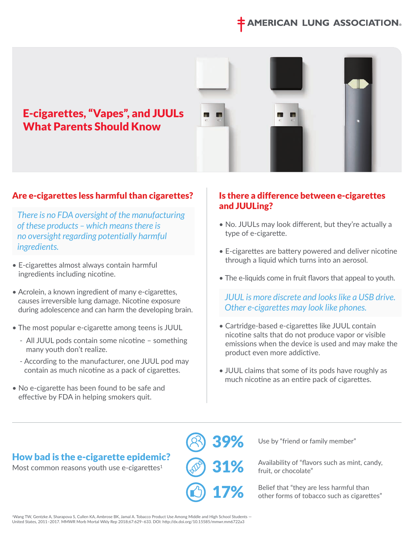# **IERICAN LUNG ASSOCIATI**



#### Are e-cigarettes less harmful than cigarettes?

 *There is no FDA oversight of the manufacturing of these products – which means there is no oversight regarding potentially harmful ingredients.* 

- E-cigarettes almost always contain harmful ingredients including nicotine.
- Acrolein, a known ingredient of many e-cigarettes, causes irreversible lung damage. Nicotine exposure during adolescence and can harm the developing brain.
- The most popular e-cigarette among teens is JUUL
	- All JUUL pods contain some nicotine something many youth don't realize.
	- According to the manufacturer, one JUUL pod may contain as much nicotine as a pack of cigarettes.
- No e-cigarette has been found to be safe and effective by FDA in helping smokers quit.

#### Is there a difference between e-cigarettes and JUULing?

- No. JUULs may look different, but they're actually a type of e-cigarette.
- E-cigarettes are battery powered and deliver nicotine through a liquid which turns into an aerosol.
- The e-liquids come in fruit flavors that appeal to youth.

 *JUUL is more discrete and looks like a USB drive. Other e-cigarettes may look like phones.* 

- Cartridge-based e-cigarettes like JUUL contain nicotine salts that do not produce vapor or visible emissions when the device is used and may make the product even more addictive.
- JUUL claims that some of its pods have roughly as much nicotine as an entire pack of cigarettes.

# How bad is the e-cigarette epidemic?

Most common reasons youth use e-cigarettes $1$ 

39% 31% 17%

Use by "friend or family member"

Availability of "flavors such as mint, candy, fruit, or chocolate"

Belief that "they are less harmful than other forms of tobacco such as cigarettes"

1Wang TW, Gentzke A, Sharapova S, Cullen KA, Ambrose BK, Jamal A. Tobacco Product Use Among Middle and High School Students — United States, 2011–2017. MMWR Morb Mortal Wkly Rep 2018;67:629–633. DOI: http://dx.doi.org/10.15585/mmwr.mm6722a3